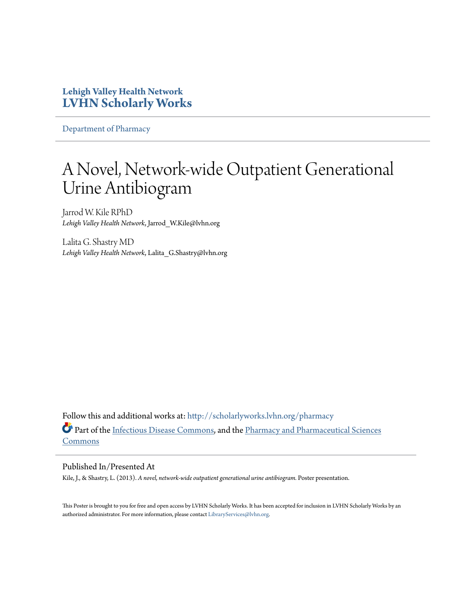#### **Lehigh Valley Health Network [LVHN Scholarly Works](http://scholarlyworks.lvhn.org?utm_source=scholarlyworks.lvhn.org%2Fpharmacy%2F33&utm_medium=PDF&utm_campaign=PDFCoverPages)**

[Department of Pharmacy](http://scholarlyworks.lvhn.org/pharmacy?utm_source=scholarlyworks.lvhn.org%2Fpharmacy%2F33&utm_medium=PDF&utm_campaign=PDFCoverPages)

#### A Novel, Network-wide Outpatient Generational Urine Antibiogram

Jarrod W. Kile RPhD *Lehigh Valley Health Network*, Jarrod\_W.Kile@lvhn.org

Lalita G. Shastry MD *Lehigh Valley Health Network*, Lalita\_G.Shastry@lvhn.org

Follow this and additional works at: [http://scholarlyworks.lvhn.org/pharmacy](http://scholarlyworks.lvhn.org/pharmacy?utm_source=scholarlyworks.lvhn.org%2Fpharmacy%2F33&utm_medium=PDF&utm_campaign=PDFCoverPages) Part of the [Infectious Disease Commons,](http://network.bepress.com/hgg/discipline/689?utm_source=scholarlyworks.lvhn.org%2Fpharmacy%2F33&utm_medium=PDF&utm_campaign=PDFCoverPages) and the [Pharmacy and Pharmaceutical Sciences](http://network.bepress.com/hgg/discipline/731?utm_source=scholarlyworks.lvhn.org%2Fpharmacy%2F33&utm_medium=PDF&utm_campaign=PDFCoverPages) [Commons](http://network.bepress.com/hgg/discipline/731?utm_source=scholarlyworks.lvhn.org%2Fpharmacy%2F33&utm_medium=PDF&utm_campaign=PDFCoverPages)

#### Published In/Presented At

Kile, J., & Shastry, L. (2013). *A novel, network-wide outpatient generational urine antibiogram.* Poster presentation.

This Poster is brought to you for free and open access by LVHN Scholarly Works. It has been accepted for inclusion in LVHN Scholarly Works by an authorized administrator. For more information, please contact [LibraryServices@lvhn.org.](mailto:LibraryServices@lvhn.org)